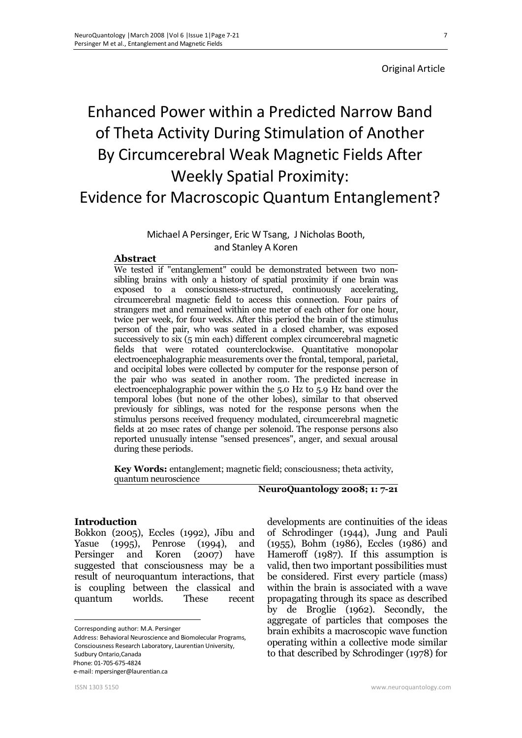# Enhanced Power within a Predicted Narrow Band of Theta Activity During Stimulation of Another By Circumcerebral Weak Magnetic Fields After Weekly Spatial Proximity: Evidence for Macroscopic Quantum Entanglement?

### Michael A Persinger, Eric W Tsang, J Nicholas Booth, and Stanley A Koren

#### Abstract

We tested if "entanglement" could be demonstrated between two nonsibling brains with only a history of spatial proximity if one brain was exposed to a consciousness-structured, continuously accelerating, circumcerebral magnetic field to access this connection. Four pairs of strangers met and remained within one meter of each other for one hour, twice per week, for four weeks. After this period the brain of the stimulus person of the pair, who was seated in a closed chamber, was exposed successively to six (5 min each) different complex circumcerebral magnetic fields that were rotated counterclockwise. Quantitative monopolar electroencephalographic measurements over the frontal, temporal, parietal, and occipital lobes were collected by computer for the response person of the pair who was seated in another room. The predicted increase in electroencephalographic power within the 5.0 Hz to 5.9 Hz band over the temporal lobes (but none of the other lobes), similar to that observed previously for siblings, was noted for the response persons when the stimulus persons received frequency modulated, circumcerebral magnetic fields at 20 msec rates of change per solenoid. The response persons also reported unusually intense "sensed presences", anger, and sexual arousal during these periods.

Key Words: entanglement; magnetic field; consciousness; theta activity, quantum neuroscience

#### NeuroQuantology 2008; 1: 7-21

#### **Introduction**

Bokkon (2005), Eccles (1992), Jibu and Yasue (1995), Penrose (1994), and Persinger and Koren (2007) have suggested that consciousness may be a result of neuroquantum interactions, that is coupling between the classical and quantum worlds. These recent

Corresponding author: M.A. Persinger

 Address: Behavioral Neuroscience and Biomolecular Programs, Consciousness Research Laboratory, Laurentian University, Sudbury Ontario,Canada Phone: 01-705-675-4824 e-mail: mpersinger@laurentian.ca

 $\overline{a}$ 

developments are continuities of the ideas of Schrodinger (1944), Jung and Pauli (1955), Bohm (1986), Eccles (1986) and Hameroff (1987). If this assumption is valid, then two important possibilities must be considered. First every particle (mass) within the brain is associated with a wave propagating through its space as described by de Broglie (1962). Secondly, the aggregate of particles that composes the brain exhibits a macroscopic wave function operating within a collective mode similar to that described by Schrodinger (1978) for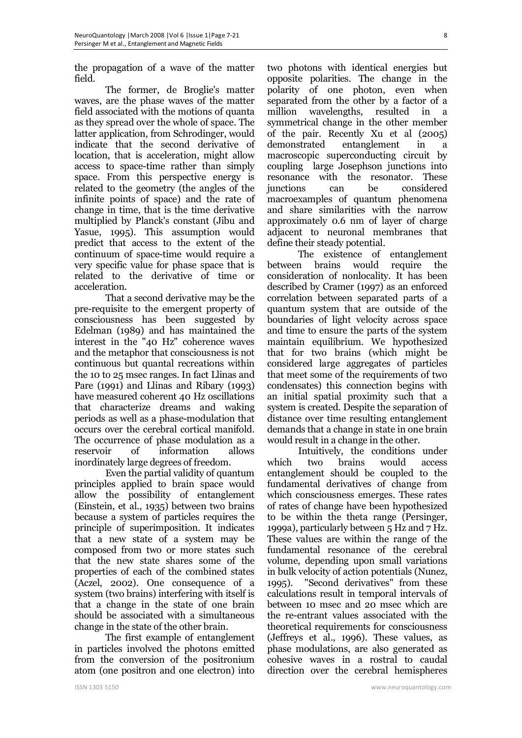the propagation of a wave of the matter field.

The former, de Broglie's matter waves, are the phase waves of the matter field associated with the motions of quanta as they spread over the whole of space. The latter application, from Schrodinger, would indicate that the second derivative of location, that is acceleration, might allow access to space-time rather than simply space. From this perspective energy is related to the geometry (the angles of the infinite points of space) and the rate of change in time, that is the time derivative multiplied by Planck's constant (Jibu and Yasue, 1995). This assumption would predict that access to the extent of the continuum of space-time would require a very specific value for phase space that is related to the derivative of time or acceleration.

That a second derivative may be the pre-requisite to the emergent property of consciousness has been suggested by Edelman (1989) and has maintained the interest in the "40 Hz" coherence waves and the metaphor that consciousness is not continuous but quantal recreations within the 10 to 25 msec ranges. In fact Llinas and Pare (1991) and Llinas and Ribary (1993) have measured coherent 40 Hz oscillations that characterize dreams and waking periods as well as a phase-modulation that occurs over the cerebral cortical manifold. The occurrence of phase modulation as a reservoir of information allows inordinately large degrees of freedom.

Even the partial validity of quantum principles applied to brain space would allow the possibility of entanglement (Einstein, et al., 1935) between two brains because a system of particles requires the principle of superimposition. It indicates that a new state of a system may be composed from two or more states such that the new state shares some of the properties of each of the combined states (Aczel, 2002). One consequence of a system (two brains) interfering with itself is that a change in the state of one brain should be associated with a simultaneous change in the state of the other brain.

The first example of entanglement in particles involved the photons emitted from the conversion of the positronium atom (one positron and one electron) into

two photons with identical energies but opposite polarities. The change in the polarity of one photon, even when separated from the other by a factor of a million wavelengths, resulted in a symmetrical change in the other member of the pair. Recently Xu et al (2005) demonstrated entanglement in a macroscopic superconducting circuit by coupling large Josephson junctions into resonance with the resonator. These<br>iunctions can be considered can be considered macroexamples of quantum phenomena and share similarities with the narrow approximately 0.6 nm of layer of charge adjacent to neuronal membranes that define their steady potential.

The existence of entanglement between brains would require the consideration of nonlocality. It has been described by Cramer (1997) as an enforced correlation between separated parts of a quantum system that are outside of the boundaries of light velocity across space and time to ensure the parts of the system maintain equilibrium. We hypothesized that for two brains (which might be considered large aggregates of particles that meet some of the requirements of two condensates) this connection begins with an initial spatial proximity such that a system is created. Despite the separation of distance over time resulting entanglement demands that a change in state in one brain would result in a change in the other.

Intuitively, the conditions under which two brains would access entanglement should be coupled to the fundamental derivatives of change from which consciousness emerges. These rates of rates of change have been hypothesized to be within the theta range (Persinger, 1999a), particularly between 5 Hz and 7 Hz. These values are within the range of the fundamental resonance of the cerebral volume, depending upon small variations in bulk velocity of action potentials (Nunez, 1995). "Second derivatives" from these calculations result in temporal intervals of between 10 msec and 20 msec which are the re-entrant values associated with the theoretical requirements for consciousness (Jeffreys et al., 1996). These values, as phase modulations, are also generated as cohesive waves in a rostral to caudal direction over the cerebral hemispheres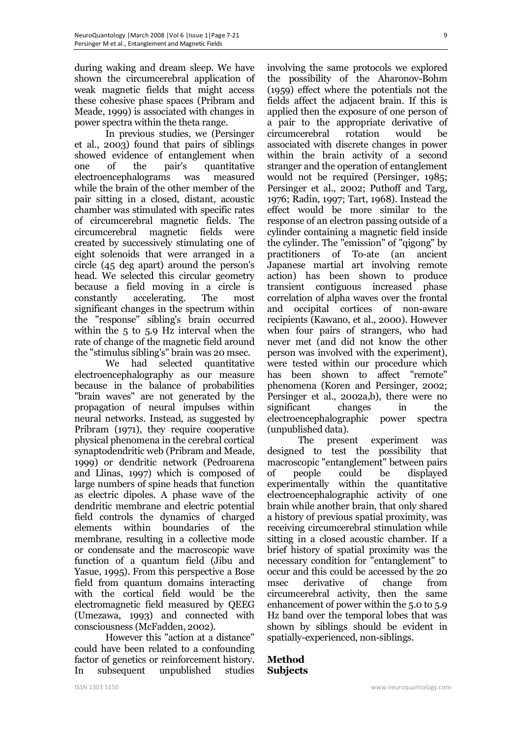during waking and dream sleep. We have shown the circumcerebral application of weak magnetic fields that might access these cohesive phase spaces (Pribram and Meade, 1999) is associated with changes in power spectra within the theta range.

In previous studies, we (Persinger et al., 2003) found that pairs of siblings showed evidence of entanglement when one of the pair's quantitative electroencephalograms was measured while the brain of the other member of the pair sitting in a closed, distant, acoustic chamber was stimulated with specific rates of circumcerebral magnetic fields. The circumcerebral magnetic fields were created by successively stimulating one of eight solenoids that were arranged in a circle (45 deg apart) around the person's head. We selected this circular geometry because a field moving in a circle is constantly accelerating. The most significant changes in the spectrum within the "response" sibling's brain occurred within the 5 to 5.9 Hz interval when the rate of change of the magnetic field around the "stimulus sibling's" brain was 20 msec.

We had selected quantitative electroencephalography as our measure because in the balance of probabilities "brain waves" are not generated by the propagation of neural impulses within neural networks. Instead, as suggested by Pribram (1971), they require cooperative physical phenomena in the cerebral cortical synaptodendritic web (Pribram and Meade, 1999) or dendritic network (Pedroarena and Llinas, 1997) which is composed of large numbers of spine heads that function as electric dipoles. A phase wave of the dendritic membrane and electric potential field controls the dynamics of charged elements within boundaries of the membrane, resulting in a collective mode or condensate and the macroscopic wave function of a quantum field (Jibu and Yasue, 1995). From this perspective a Bose field from quantum domains interacting with the cortical field would be the electromagnetic field measured by QEEG (Umezawa, 1993) and connected with consciousness (McFadden, 2002).

However this "action at a distance" could have been related to a confounding factor of genetics or reinforcement history. In subsequent unpublished studies

involving the same protocols we explored the possibility of the Aharonov-Bohm (1959) effect where the potentials not the fields affect the adjacent brain. If this is applied then the exposure of one person of a pair to the appropriate derivative of circumcerebral rotation would be associated with discrete changes in power within the brain activity of a second stranger and the operation of entanglement would not be required (Persinger, 1985; Persinger et al., 2002; Puthoff and Targ, 1976; Radin, 1997; Tart, 1968). Instead the effect would be more similar to the response of an electron passing outside of a cylinder containing a magnetic field inside the cylinder. The "emission" of "qigong" by practitioners of To-ate (an ancient Japanese martial art involving remote action) has been shown to produce transient contiguous increased phase correlation of alpha waves over the frontal and occipital cortices of non-aware recipients (Kawano, et al., 2000). However when four pairs of strangers, who had never met (and did not know the other person was involved with the experiment), were tested within our procedure which has been shown to affect "remote" phenomena (Koren and Persinger, 2002; Persinger et al., 2002a,b), there were no significant changes in the electroencephalographic power spectra (unpublished data).

The present experiment was designed to test the possibility that macroscopic "entanglement" between pairs of people could be displayed experimentally within the quantitative electroencephalographic activity of one brain while another brain, that only shared a history of previous spatial proximity, was receiving circumcerebral stimulation while sitting in a closed acoustic chamber. If a brief history of spatial proximity was the necessary condition for "entanglement" to occur and this could be accessed by the 20 msec derivative of change from circumcerebral activity, then the same enhancement of power within the 5.0 to 5.9 Hz band over the temporal lobes that was shown by siblings should be evident in spatially-experienced, non-siblings.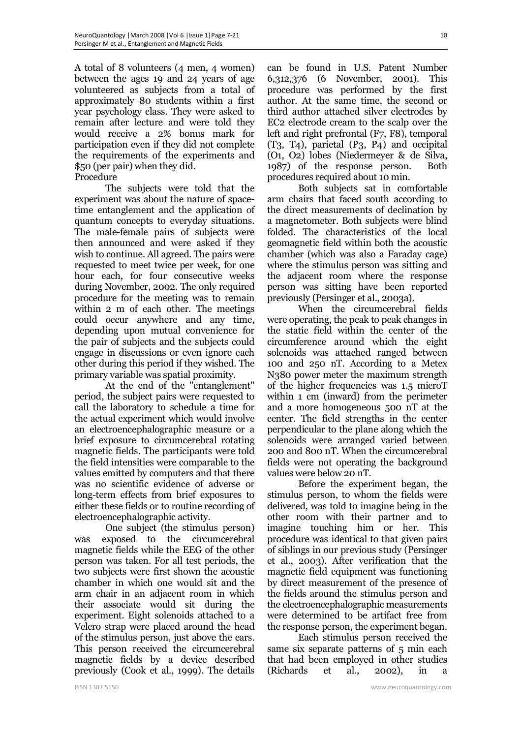A total of 8 volunteers (4 men, 4 women) between the ages 19 and 24 years of age volunteered as subjects from a total of approximately 80 students within a first year psychology class. They were asked to remain after lecture and were told they would receive a 2% bonus mark for participation even if they did not complete the requirements of the experiments and \$50 (per pair) when they did. Procedure

The subjects were told that the experiment was about the nature of spacetime entanglement and the application of quantum concepts to everyday situations. The male-female pairs of subjects were then announced and were asked if they wish to continue. All agreed. The pairs were requested to meet twice per week, for one hour each, for four consecutive weeks during November, 2002. The only required procedure for the meeting was to remain within 2 m of each other. The meetings could occur anywhere and any time, depending upon mutual convenience for the pair of subjects and the subjects could engage in discussions or even ignore each other during this period if they wished. The primary variable was spatial proximity.

At the end of the "entanglement" period, the subject pairs were requested to call the laboratory to schedule a time for the actual experiment which would involve an electroencephalographic measure or a brief exposure to circumcerebral rotating magnetic fields. The participants were told the field intensities were comparable to the values emitted by computers and that there was no scientific evidence of adverse or long-term effects from brief exposures to either these fields or to routine recording of electroencephalographic activity.

One subject (the stimulus person) was exposed to the circumcerebral magnetic fields while the EEG of the other person was taken. For all test periods, the two subjects were first shown the acoustic chamber in which one would sit and the arm chair in an adjacent room in which their associate would sit during the experiment. Eight solenoids attached to a Velcro strap were placed around the head of the stimulus person, just above the ears. This person received the circumcerebral magnetic fields by a device described previously (Cook et al., 1999). The details

can be found in U.S. Patent Number 6,312,376 (6 November, 2001). This procedure was performed by the first author. At the same time, the second or third author attached silver electrodes by EC2 electrode cream to the scalp over the left and right prefrontal (F7, F8), temporal (T3, T4), parietal (P3, P4) and occipital (O1, O2) lobes (Niedermeyer & de Silva, 1987) of the response person. Both procedures required about 10 min.

Both subjects sat in comfortable arm chairs that faced south according to the direct measurements of declination by a magnetometer. Both subjects were blind folded. The characteristics of the local geomagnetic field within both the acoustic chamber (which was also a Faraday cage) where the stimulus person was sitting and the adjacent room where the response person was sitting have been reported previously (Persinger et al., 2003a).

When the circumcerebral fields were operating, the peak to peak changes in the static field within the center of the circumference around which the eight solenoids was attached ranged between 100 and 250 nT. According to a Metex N380 power meter the maximum strength of the higher frequencies was 1.5 microT within 1 cm (inward) from the perimeter and a more homogeneous 500 nT at the center. The field strengths in the center perpendicular to the plane along which the solenoids were arranged varied between 200 and 800 nT. When the circumcerebral fields were not operating the background values were below 20 nT.

Before the experiment began, the stimulus person, to whom the fields were delivered, was told to imagine being in the other room with their partner and to imagine touching him or her. This procedure was identical to that given pairs of siblings in our previous study (Persinger et al., 2003). After verification that the magnetic field equipment was functioning by direct measurement of the presence of the fields around the stimulus person and the electroencephalographic measurements were determined to be artifact free from the response person, the experiment began.

Each stimulus person received the same six separate patterns of 5 min each that had been employed in other studies (Richards et al., 2002), in a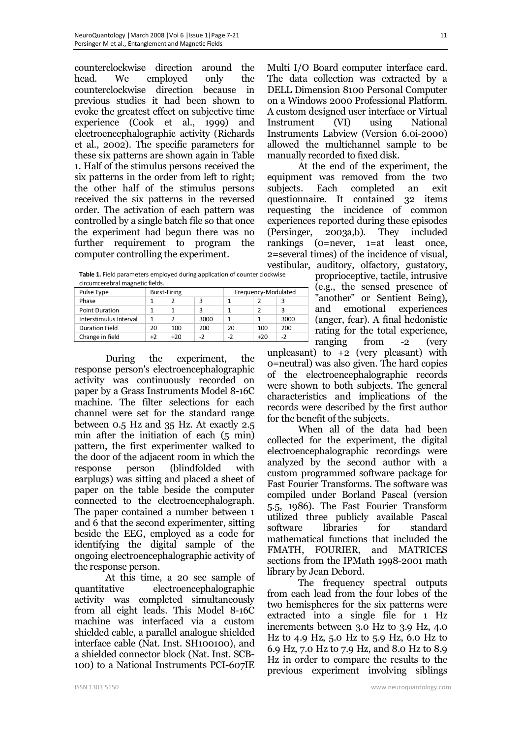counterclockwise direction around the head. We employed only the counterclockwise direction because in previous studies it had been shown to evoke the greatest effect on subjective time experience (Cook et al., 1999) and electroencephalographic activity (Richards et al., 2002). The specific parameters for these six patterns are shown again in Table 1. Half of the stimulus persons received the six patterns in the order from left to right; the other half of the stimulus persons received the six patterns in the reversed order. The activation of each pattern was controlled by a single batch file so that once the experiment had begun there was no further requirement to program the computer controlling the experiment.

**Table 1.** Field parameters employed during application of counter clockwise circumcerebral magnetic fields.

| circurricei ebrar magnetic neius. |                     |       |      |      |                     |      |  |
|-----------------------------------|---------------------|-------|------|------|---------------------|------|--|
| Pulse Type                        | <b>Burst-Firing</b> |       |      |      | Frequency-Modulated |      |  |
| Phase                             |                     |       |      |      |                     |      |  |
| <b>Point Duration</b>             |                     |       |      |      |                     |      |  |
| Interstimulus Interval            |                     |       | 3000 |      |                     | 3000 |  |
| <b>Duration Field</b>             | 20                  | 100   | 200  | 20   | 100                 | 200  |  |
| Change in field                   | +2                  | $+20$ | -2   | $-2$ | $+20$               | -2   |  |

During the experiment, the response person's electroencephalographic activity was continuously recorded on paper by a Grass Instruments Model 8-16C machine. The filter selections for each channel were set for the standard range between 0.5 Hz and 35 Hz. At exactly 2.5 min after the initiation of each (5 min) pattern, the first experimenter walked to the door of the adjacent room in which the response person (blindfolded with earplugs) was sitting and placed a sheet of paper on the table beside the computer connected to the electroencephalograph. The paper contained a number between 1 and 6 that the second experimenter, sitting beside the EEG, employed as a code for identifying the digital sample of the ongoing electroencephalographic activity of the response person.

At this time, a 20 sec sample of quantitative electroencephalographic activity was completed simultaneously from all eight leads. This Model 8-16C machine was interfaced via a custom shielded cable, a parallel analogue shielded interface cable (Nat. Inst. SH100100), and a shielded connector block (Nat. Inst. SCB-100) to a National Instruments PCI-607IE

Multi I/O Board computer interface card. The data collection was extracted by a DELL Dimension 8100 Personal Computer on a Windows 2000 Professional Platform. A custom designed user interface or Virtual Instrument (VI) using National Instruments Labview (Version 6.0i-2000) allowed the multichannel sample to be manually recorded to fixed disk.

At the end of the experiment, the equipment was removed from the two<br>subjects. Each completed an exit subjects. Each completed an exit questionnaire. It contained 32 items requesting the incidence of common experiences reported during these episodes (Persinger, 2003a,b). They included rankings (0=never, 1=at least once, 2=several times) of the incidence of visual, vestibular, auditory, olfactory, gustatory,

proprioceptive, tactile, intrusive (e.g., the sensed presence of "another" or Sentient Being), and emotional experiences (anger, fear). A final hedonistic rating for the total experience, ranging from -2 (very

unpleasant) to  $+2$  (very pleasant) with 0=neutral) was also given. The hard copies of the electroencephalographic records were shown to both subjects. The general characteristics and implications of the records were described by the first author for the benefit of the subjects.

When all of the data had been collected for the experiment, the digital electroencephalographic recordings were analyzed by the second author with a custom programmed software package for Fast Fourier Transforms. The software was compiled under Borland Pascal (version 5.5, 1986). The Fast Fourier Transform utilized three publicly available Pascal software libraries for standard mathematical functions that included the FMATH, FOURIER, and MATRICES sections from the IPMath 1998-2001 math library by Jean Debord.

The frequency spectral outputs from each lead from the four lobes of the two hemispheres for the six patterns were extracted into a single file for 1 Hz increments between 3.0 Hz to 3.9 Hz, 4.0 Hz to 4.9 Hz, 5.0 Hz to 5.9 Hz, 6.0 Hz to 6.9 Hz, 7.0 Hz to 7.9 Hz, and 8.0 Hz to 8.9 Hz in order to compare the results to the previous experiment involving siblings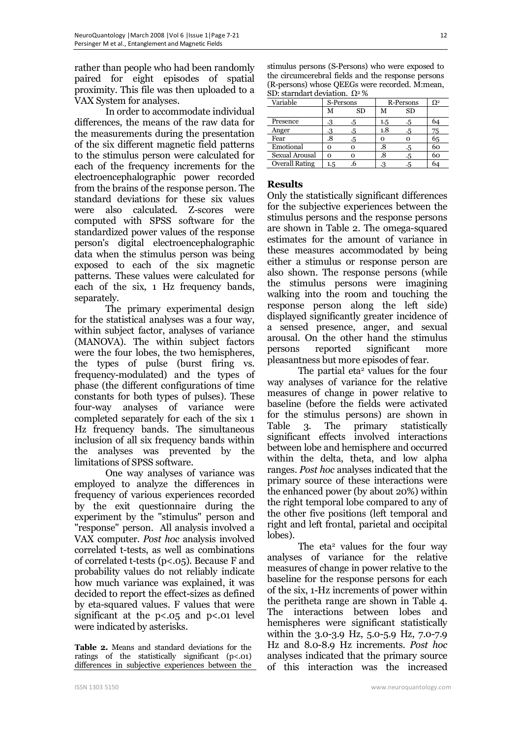rather than people who had been randomly paired for eight episodes of spatial proximity. This file was then uploaded to a VAX System for analyses.

In order to accommodate individual differences, the means of the raw data for the measurements during the presentation of the six different magnetic field patterns to the stimulus person were calculated for each of the frequency increments for the electroencephalographic power recorded from the brains of the response person. The standard deviations for these six values were also calculated. Z-scores were computed with SPSS software for the standardized power values of the response person's digital electroencephalographic data when the stimulus person was being exposed to each of the six magnetic patterns. These values were calculated for each of the six, 1 Hz frequency bands, separately.

The primary experimental design for the statistical analyses was a four way, within subject factor, analyses of variance (MANOVA). The within subject factors were the four lobes, the two hemispheres, the types of pulse (burst firing vs. frequency-modulated) and the types of phase (the different configurations of time constants for both types of pulses). These four-way analyses of variance were completed separately for each of the six 1 Hz frequency bands. The simultaneous inclusion of all six frequency bands within the analyses was prevented by the limitations of SPSS software.

One way analyses of variance was employed to analyze the differences in frequency of various experiences recorded by the exit questionnaire during the experiment by the "stimulus" person and "response" person. All analysis involved a VAX computer. Post hoc analysis involved correlated t-tests, as well as combinations of correlated t-tests (p<.05). Because F and probability values do not reliably indicate how much variance was explained, it was decided to report the effect-sizes as defined by eta-squared values. F values that were significant at the  $p<0.05$  and  $p<0.01$  level were indicated by asterisks.

Table 2. Means and standard deviations for the ratings of the statistically significant (p<.01) differences in subjective experiences between the

stimulus persons (S-Persons) who were exposed to the circumcerebral fields and the response persons (R-persons) whose QEEGs were recorded. M:mean, SD: starndart deviation. Ω2 %

| Variable              | S-Persons |    |     | R-Persons |    |  |
|-----------------------|-----------|----|-----|-----------|----|--|
|                       | М         | SD | м   | SD        |    |  |
| Presence              | -3        | -5 | 1.5 | -5        | 64 |  |
| Anger                 | .3        | ۰5 | 1.8 | ۰5        | 75 |  |
| Fear                  | .8        | -5 | Ω   |           | 65 |  |
| Emotional             | Ω         |    | .8  | -5        | 60 |  |
| Sexual Arousal        | O         |    | .8  | -5        | 60 |  |
| <b>Overall Rating</b> | 1.5       |    | -3  | -5        | 64 |  |

### **Results**

Only the statistically significant differences for the subjective experiences between the stimulus persons and the response persons are shown in Table 2. The omega-squared estimates for the amount of variance in these measures accommodated by being either a stimulus or response person are also shown. The response persons (while the stimulus persons were imagining walking into the room and touching the response person along the left side) displayed significantly greater incidence of a sensed presence, anger, and sexual arousal. On the other hand the stimulus persons reported significant more pleasantness but more episodes of fear.

The partial eta<sup>2</sup> values for the four way analyses of variance for the relative measures of change in power relative to baseline (before the fields were activated for the stimulus persons) are shown in Table 3. The primary statistically significant effects involved interactions between lobe and hemisphere and occurred within the delta, theta, and low alpha ranges. Post hoc analyses indicated that the primary source of these interactions were the enhanced power (by about 20%) within the right temporal lobe compared to any of the other five positions (left temporal and right and left frontal, parietal and occipital lobes).

The eta<sup>2</sup> values for the four way analyses of variance for the relative measures of change in power relative to the baseline for the response persons for each of the six, 1-Hz increments of power within the peritheta range are shown in Table 4. The interactions between lobes and hemispheres were significant statistically within the 3.0-3.9 Hz, 5.0-5.9 Hz, 7.0-7.9 Hz and 8.0-8.9 Hz increments. Post hoc analyses indicated that the primary source of this interaction was the increased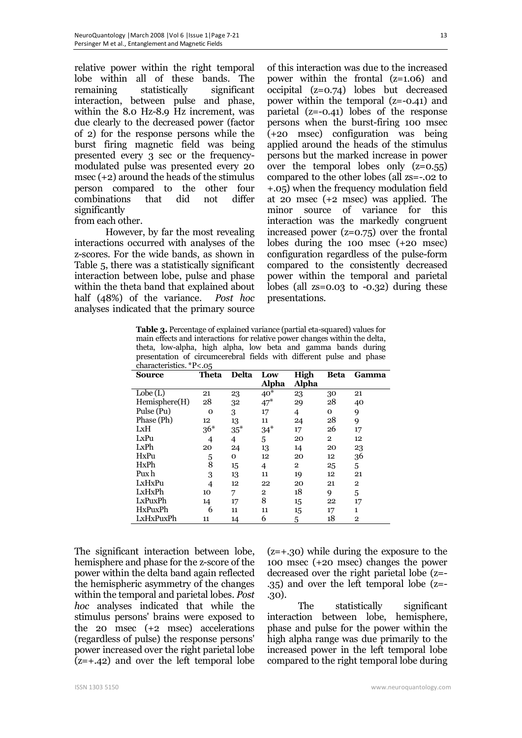relative power within the right temporal lobe within all of these bands. The remaining statistically significant interaction, between pulse and phase, within the 8.0 Hz-8.9 Hz increment, was due clearly to the decreased power (factor of 2) for the response persons while the burst firing magnetic field was being presented every 3 sec or the frequencymodulated pulse was presented every 20 msec (+2) around the heads of the stimulus person compared to the other four combinations that did not differ significantly from each other.

However, by far the most revealing interactions occurred with analyses of the z-scores. For the wide bands, as shown in Table 5, there was a statistically significant interaction between lobe, pulse and phase within the theta band that explained about half (48%) of the variance. Post hoc

analyses indicated that the primary source

of this interaction was due to the increased power within the frontal (z=1.06) and occipital (z=0.74) lobes but decreased power within the temporal (z=-0.41) and parietal (z=-0.41) lobes of the response persons when the burst-firing 100 msec (+20 msec) configuration was being applied around the heads of the stimulus persons but the marked increase in power over the temporal lobes only  $(z=0.55)$ compared to the other lobes (all zs=-.02 to +.05) when the frequency modulation field at 20 msec (+2 msec) was applied. The minor source of variance for this interaction was the markedly congruent increased power (z=0.75) over the frontal lobes during the 100 msec (+20 msec) configuration regardless of the pulse-form compared to the consistently decreased power within the temporal and parietal lobes (all zs=0.03 to -0.32) during these presentations.

Table 3. Percentage of explained variance (partial eta-squared) values for main effects and interactions for relative power changes within the delta, theta, low-alpha, high alpha, low beta and gamma bands during presentation of circumcerebral fields with different pulse and phase characteristics. \*P< o5

|               | umanni m<br>$\overline{\phantom{a}}$<br>v., |              |              |                |              |                |  |  |
|---------------|---------------------------------------------|--------------|--------------|----------------|--------------|----------------|--|--|
| Source        | Theta                                       | <b>Delta</b> | Low          | High           | Beta         | Gamma          |  |  |
|               |                                             |              | <b>Alpha</b> | Alpha          |              |                |  |  |
| Lobe(L)       | 21                                          | 23           | $40*$        | 23             | 30           | 21             |  |  |
| Hemisphere(H) | 28                                          | 32           | $47*$        | 29             | 28           | 40             |  |  |
| Pulse (Pu)    | O                                           | 3            | 17           | 4              | 0            | 9              |  |  |
| Phase (Ph)    | 12                                          | 13           | 11           | 24             | 28           | 9              |  |  |
| LxH           | $36*$                                       | $35*$        | $34*$        | 17             | 26           | 17             |  |  |
| LxPu          | 4                                           | 4            | 5.           | 20             | $\mathbf{2}$ | 12             |  |  |
| LxPh          | 20                                          | 24           | 13           | 14             | 20           | 23             |  |  |
| HxPu          | 5                                           | 0            | 12           | 20             | 12           | 36             |  |  |
| HxPh          | 8                                           | 15           | 4            | $\overline{2}$ | 25           | 5              |  |  |
| Pux h         | 3                                           | 13           | 11           | 19             | 12           | 21             |  |  |
| LxHxPu        | 4                                           | 12           | 22           | 20             | 21           | $\overline{2}$ |  |  |
| LxHxPh        | 10                                          | 7            | $\mathbf{2}$ | 18             | 9            | 5              |  |  |
| LxPuxPh       | 14                                          | 17           | 8            | 15             | 22           | 17             |  |  |
| HxPuxPh       | 6                                           | 11           | 11           | 15             | 17           | 1              |  |  |
| LxHxPuxPh     | 11                                          | 14           | 6            | 5              | 18           | $\overline{2}$ |  |  |

The significant interaction between lobe, hemisphere and phase for the z-score of the power within the delta band again reflected the hemispheric asymmetry of the changes within the temporal and parietal lobes. Post hoc analyses indicated that while the stimulus persons' brains were exposed to the 20 msec (+2 msec) accelerations (regardless of pulse) the response persons' power increased over the right parietal lobe (z=+.42) and over the left temporal lobe (z=+.30) while during the exposure to the 100 msec (+20 msec) changes the power decreased over the right parietal lobe (z=- .35) and over the left temporal lobe (z=- .30).

The statistically significant interaction between lobe, hemisphere, phase and pulse for the power within the high alpha range was due primarily to the increased power in the left temporal lobe compared to the right temporal lobe during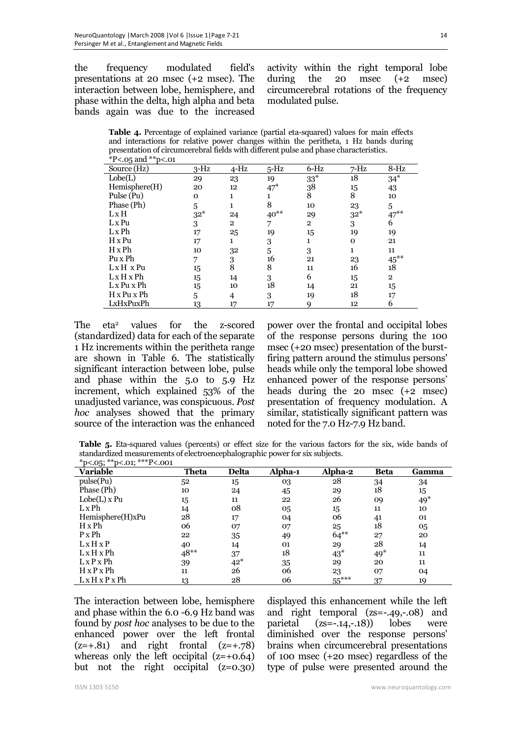the frequency modulated field's presentations at 20 msec (+2 msec). The interaction between lobe, hemisphere, and phase within the delta, high alpha and beta bands again was due to the increased activity within the right temporal lobe during the  $20$  msec  $(+2 \text{ msec})$ circumcerebral rotations of the frequency modulated pulse.

Table 4. Percentage of explained variance (partial eta-squared) values for main effects and interactions for relative power changes within the peritheta, 1 Hz bands during presentation of circumcerebral fields with different pulse and phase characteristics. \*P<.05 and \*\*p<.01

| <u>ູ</u><br>Source (Hz) | $3-Hz$   | $4-Hz$       | $5-Hz$  | $6-Hz$         | $7-Hz$   | $8-Hz$         |
|-------------------------|----------|--------------|---------|----------------|----------|----------------|
| Lobe(L)                 | 29       | 23           | 19      | $33*$          | 18       | $34*$          |
| Hemisphere(H)           | 20       | 12           | $47*$   | 38             | 15       | 43             |
| Pulse (Pu)              | $\Omega$ | 1            |         | 8              | 8        | 10             |
| Phase (Ph)              | 5        | 1            | 8       | 10             | 23       | 5              |
| LxH                     | $32*$    | 24           | $40***$ | 29             | $32*$    | $47***$        |
| L <sub>x</sub> Pu       | 3        | $\mathbf{2}$ | 7       | $\overline{2}$ | 3        | 6              |
| LxPh                    | 17       | 25           | 19      | 15             | 19       | 19             |
| $H \times Pu$           | 17       | 1            | 3       | 1              | $\Omega$ | 21             |
| $H \times Ph$           | 10       | 32           | 5       | 3              | 1        | 11             |
| Pu x Ph                 | 7        | 3            | 16      | 21             | 23       | $45***$        |
| LxHxPu                  | 15       | 8            | 8       | 11             | 16       | 18             |
| LxHxPh                  | 15       | 14           | 3       | 6              | 15       | $\overline{2}$ |
| L x P u x P h           | 15       | 10           | 18      | 14             | 21       | 15             |
| H x P u x P h           | 5        | 4            | 3       | 19             | 18       | 17             |
| LxHxPuxPh               | 13       | 17           | 17      | Q              | 12       | 6              |

The eta<sup>2</sup> values for the z-scored (standardized) data for each of the separate 1 Hz increments within the peritheta range are shown in Table 6. The statistically significant interaction between lobe, pulse and phase within the 5.0 to 5.9 Hz increment, which explained 53% of the unadjusted variance, was conspicuous. Post hoc analyses showed that the primary source of the interaction was the enhanced power over the frontal and occipital lobes of the response persons during the 100 msec (+20 msec) presentation of the burstfiring pattern around the stimulus persons' heads while only the temporal lobe showed enhanced power of the response persons' heads during the 20 msec (+2 msec) presentation of frequency modulation. A similar, statistically significant pattern was noted for the 7.0 Hz-7.9 Hz band.

Table 5. Eta-squared values (percents) or effect size for the various factors for the six, wide bands of standardized measurements of electroencephalographic power for six subjects.  $*p$ <.05;  $*p$ <.01;  $**p$ <.001

| , ט-יי<br>$\ddotsc$<br>Variable | <b>Theta</b> | <b>Delta</b> | <b>Alpha-1</b> | <b>Alpha-2</b> | <b>Beta</b> | Gamma |
|---------------------------------|--------------|--------------|----------------|----------------|-------------|-------|
| pulse(Pu)                       | 52           | 15           | 03             | 28             | 34          | 34    |
| Phase (Ph)                      | 10           | 24           | 45             | 29             | 18          | 15    |
| $Lobe(L)$ x Pu                  | 15           | 11           | 22             | 26             | 09          | $49*$ |
| L x Ph                          | 14           | 08           | 05             | 15             | 11          | 10    |
| Hemisphere(H)xPu                | 28           | 17           | 04             | 06             | 41          | 01    |
| $H \times Ph$                   | 06           | 07           | 07             | 25             | 18          | 05    |
| P x Ph                          | 22           | 35           | 49             | $64***$        | 27          | 20    |
| LxHxP                           | 40           | 14           | 01             | 29             | 28          | 14    |
| LxHxPh                          | $48***$      | 37           | 18             | $43*$          | $49*$       | 11    |
| L x P x Ph                      | 39           | $42*$        | 35             | 29             | 20          | 11    |
| $H \times P \times Ph$          | 11           | 26           | 06             | 23             | 07          | 04    |
| LxHxPxPh                        | 13           | 28           | 06             | $55***$        | 37          | 19    |

The interaction between lobe, hemisphere and phase within the 6.0 -6.9 Hz band was found by post hoc analyses to be due to the enhanced power over the left frontal  $(z=+.81)$  and right frontal  $(z=+.78)$ whereas only the left occipital  $(z=+0.64)$ but not the right occipital (z=0.30)

displayed this enhancement while the left and right temporal (zs=-.49,-.08) and parietal (zs=-.14,-.18)) lobes were diminished over the response persons' brains when circumcerebral presentations of 100 msec (+20 msec) regardless of the type of pulse were presented around the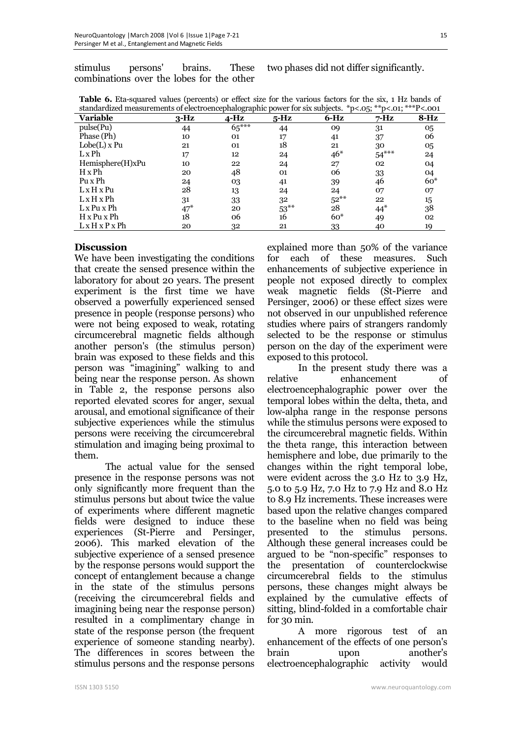15

| stimulus                                  | persons' | brains. | These two phases did not differ significantly. |
|-------------------------------------------|----------|---------|------------------------------------------------|
| combinations over the lobes for the other |          |         |                                                |

Table 6. Eta-squared values (percents) or effect size for the various factors for the six, 1 Hz bands of standardized measurements of electroencephalographic power for six subjects. \*p<.05; \*\*p<.01; \*\*\*P<.001

| standardized measurements of electroencephalographic power for six subjects. "p<.05; ""p<.01; """P<.001 |        |         |         |         |          |        |
|---------------------------------------------------------------------------------------------------------|--------|---------|---------|---------|----------|--------|
| Variable                                                                                                | $3-Hz$ | 4-Hz    | $5-Hz$  | $6-Hz$  | $7 - Hz$ | $8-Hz$ |
| pulse(Pu)                                                                                               | 44     | $65***$ | 44      | OQ.     | 31       | 05     |
| Phase (Ph)                                                                                              | 10     | 01      | 17      | 41      | 37       | 06     |
| $Lobe(L)$ x Pu                                                                                          | 21     | 01      | 18      | 21      | 30       | 05     |
| LxPh                                                                                                    | 17     | 12      | 24      | $46*$   | $54***$  | 24     |
| Hemisphere(H)xPu                                                                                        | 10     | 22      | 24      | 27      | 02       | 04     |
| H x Ph                                                                                                  | 20     | 48      | 01      | 06      | 33       | 04     |
| PuxPh                                                                                                   | 24     | 03      | 41      | 39      | 46       | $60*$  |
| LxHxPu                                                                                                  | 28     | 13      | 24      | 24      | 07       | 07     |
| LxHxPh                                                                                                  | 31     | 33      | 32      | $52***$ | 22       | 15     |
| Lx Pu x Ph                                                                                              | $47*$  | 20      | $53***$ | 28      | $44*$    | 38     |
| H x P u x P h                                                                                           | 18     | 06      | 16      | $60*$   | 49       | 02     |
| $L \times H \times P \times Ph$                                                                         | 20     | 32      | 21      | 33      | 40       | 19     |

## **Discussion**

We have been investigating the conditions that create the sensed presence within the laboratory for about 20 years. The present experiment is the first time we have observed a powerfully experienced sensed presence in people (response persons) who were not being exposed to weak, rotating circumcerebral magnetic fields although another person's (the stimulus person) brain was exposed to these fields and this person was "imagining" walking to and being near the response person. As shown in Table 2, the response persons also reported elevated scores for anger, sexual arousal, and emotional significance of their subjective experiences while the stimulus persons were receiving the circumcerebral stimulation and imaging being proximal to them.

The actual value for the sensed presence in the response persons was not only significantly more frequent than the stimulus persons but about twice the value of experiments where different magnetic fields were designed to induce these experiences (St-Pierre and Persinger, 2006). This marked elevation of the subjective experience of a sensed presence by the response persons would support the concept of entanglement because a change in the state of the stimulus persons (receiving the circumcerebral fields and imagining being near the response person) resulted in a complimentary change in state of the response person (the frequent experience of someone standing nearby). The differences in scores between the stimulus persons and the response persons

explained more than 50% of the variance for each of these measures. Such enhancements of subjective experience in people not exposed directly to complex weak magnetic fields (St-Pierre and Persinger, 2006) or these effect sizes were not observed in our unpublished reference studies where pairs of strangers randomly selected to be the response or stimulus person on the day of the experiment were exposed to this protocol.

In the present study there was a relative enhancement of electroencephalographic power over the temporal lobes within the delta, theta, and low-alpha range in the response persons while the stimulus persons were exposed to the circumcerebral magnetic fields. Within the theta range, this interaction between hemisphere and lobe, due primarily to the changes within the right temporal lobe, were evident across the 3.0 Hz to 3.9 Hz, 5.0 to 5.9 Hz, 7.0 Hz to 7.9 Hz and 8.0 Hz to 8.9 Hz increments. These increases were based upon the relative changes compared to the baseline when no field was being presented to the stimulus persons. Although these general increases could be argued to be "non-specific" responses to the presentation of counterclockwise circumcerebral fields to the stimulus persons, these changes might always be explained by the cumulative effects of sitting, blind-folded in a comfortable chair for 30 min.

A more rigorous test of an enhancement of the effects of one person's brain upon another's electroencephalographic activity would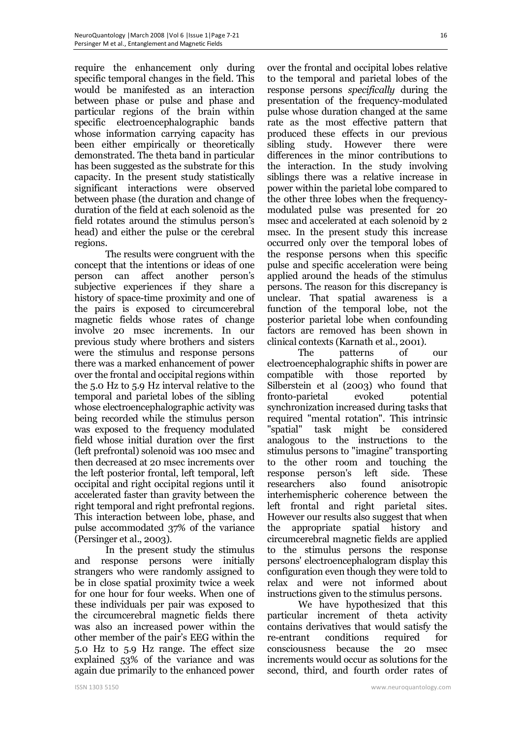require the enhancement only during specific temporal changes in the field. This would be manifested as an interaction between phase or pulse and phase and particular regions of the brain within specific electroencephalographic bands whose information carrying capacity has been either empirically or theoretically demonstrated. The theta band in particular has been suggested as the substrate for this capacity. In the present study statistically significant interactions were observed between phase (the duration and change of duration of the field at each solenoid as the field rotates around the stimulus person's head) and either the pulse or the cerebral regions.

The results were congruent with the concept that the intentions or ideas of one person can affect another person's subjective experiences if they share a history of space-time proximity and one of the pairs is exposed to circumcerebral magnetic fields whose rates of change involve 20 msec increments. In our previous study where brothers and sisters were the stimulus and response persons there was a marked enhancement of power over the frontal and occipital regions within the 5.0 Hz to 5.9 Hz interval relative to the temporal and parietal lobes of the sibling whose electroencephalographic activity was being recorded while the stimulus person was exposed to the frequency modulated field whose initial duration over the first (left prefrontal) solenoid was 100 msec and then decreased at 20 msec increments over the left posterior frontal, left temporal, left occipital and right occipital regions until it accelerated faster than gravity between the right temporal and right prefrontal regions. This interaction between lobe, phase, and pulse accommodated 37% of the variance (Persinger et al., 2003).

In the present study the stimulus and response persons were initially strangers who were randomly assigned to be in close spatial proximity twice a week for one hour for four weeks. When one of these individuals per pair was exposed to the circumcerebral magnetic fields there was also an increased power within the other member of the pair's EEG within the 5.0 Hz to 5.9 Hz range. The effect size explained 53% of the variance and was again due primarily to the enhanced power

over the frontal and occipital lobes relative to the temporal and parietal lobes of the response persons specifically during the presentation of the frequency-modulated pulse whose duration changed at the same rate as the most effective pattern that produced these effects in our previous sibling study. However there were differences in the minor contributions to the interaction. In the study involving siblings there was a relative increase in power within the parietal lobe compared to the other three lobes when the frequencymodulated pulse was presented for 20 msec and accelerated at each solenoid by 2 msec. In the present study this increase occurred only over the temporal lobes of the response persons when this specific pulse and specific acceleration were being applied around the heads of the stimulus persons. The reason for this discrepancy is unclear. That spatial awareness is a function of the temporal lobe, not the posterior parietal lobe when confounding factors are removed has been shown in clinical contexts (Karnath et al., 2001).

The patterns of our electroencephalographic shifts in power are compatible with those reported by Silberstein et al (2003) who found that<br>fronto-parietal evoked potential fronto-parietal evoked synchronization increased during tasks that required "mental rotation". This intrinsic "spatial" task might be considered analogous to the instructions to the stimulus persons to "imagine" transporting to the other room and touching the response person's left side. These researchers also found anisotropic interhemispheric coherence between the left frontal and right parietal sites. However our results also suggest that when the appropriate spatial history and circumcerebral magnetic fields are applied to the stimulus persons the response persons' electroencephalogram display this configuration even though they were told to relax and were not informed about instructions given to the stimulus persons.

We have hypothesized that this particular increment of theta activity contains derivatives that would satisfy the re-entrant conditions required for consciousness because the 20 msec increments would occur as solutions for the second, third, and fourth order rates of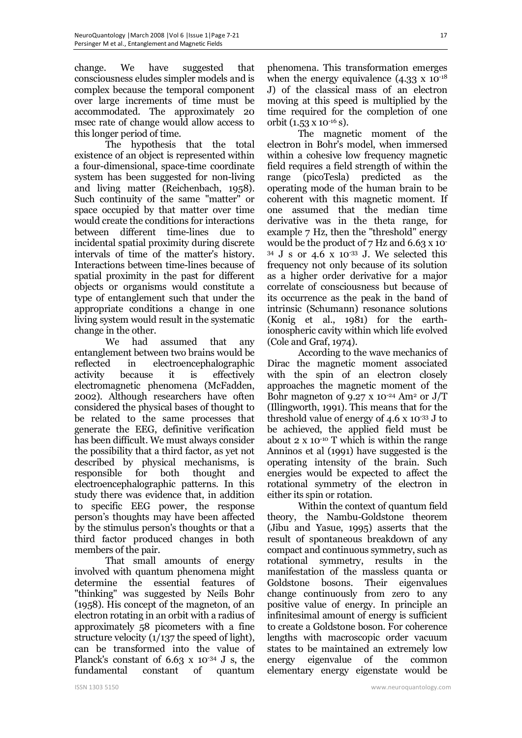change. We have suggested that consciousness eludes simpler models and is complex because the temporal component over large increments of time must be accommodated. The approximately 20 msec rate of change would allow access to this longer period of time.

The hypothesis that the total existence of an object is represented within a four-dimensional, space-time coordinate system has been suggested for non-living and living matter (Reichenbach, 1958). Such continuity of the same "matter" or space occupied by that matter over time would create the conditions for interactions between different time-lines due to incidental spatial proximity during discrete intervals of time of the matter's history. Interactions between time-lines because of spatial proximity in the past for different objects or organisms would constitute a type of entanglement such that under the appropriate conditions a change in one living system would result in the systematic change in the other.

We had assumed that any entanglement between two brains would be reflected in electroencephalographic activity because it is effectively electromagnetic phenomena (McFadden, 2002). Although researchers have often considered the physical bases of thought to be related to the same processes that generate the EEG, definitive verification has been difficult. We must always consider the possibility that a third factor, as yet not described by physical mechanisms, is<br>responsible for both thought and responsible for both thought and electroencephalographic patterns. In this study there was evidence that, in addition to specific EEG power, the response person's thoughts may have been affected by the stimulus person's thoughts or that a third factor produced changes in both members of the pair.

That small amounts of energy involved with quantum phenomena might determine the essential features of "thinking" was suggested by Neils Bohr (1958). His concept of the magneton, of an electron rotating in an orbit with a radius of approximately 58 picometers with a fine structure velocity (1/137 the speed of light), can be transformed into the value of Planck's constant of  $6.63 \times 10^{-34}$  J s, the fundamental constant of quantum

phenomena. This transformation emerges when the energy equivalence  $(4.33 \times 10^{-18})$ J) of the classical mass of an electron moving at this speed is multiplied by the time required for the completion of one orbit (1.53 x 10-16 s).

The magnetic moment of the electron in Bohr's model, when immersed within a cohesive low frequency magnetic field requires a field strength of within the range (picoTesla) predicted as the operating mode of the human brain to be coherent with this magnetic moment. If one assumed that the median time derivative was in the theta range, for example 7 Hz, then the "threshold" energy would be the product of 7 Hz and 6.63 x 10- <sup>34</sup> J s or 4.6 x 10-33 J. We selected this frequency not only because of its solution as a higher order derivative for a major correlate of consciousness but because of its occurrence as the peak in the band of intrinsic (Schumann) resonance solutions (Konig et al., 1981) for the earthionospheric cavity within which life evolved (Cole and Graf, 1974).

According to the wave mechanics of Dirac the magnetic moment associated with the spin of an electron closely approaches the magnetic moment of the Bohr magneton of 9.27 x 10<sup>-24</sup> Am<sup>2</sup> or  $J/T$ (Illingworth, 1991). This means that for the threshold value of energy of 4.6 x 10-33 J to be achieved, the applied field must be about 2  $\times$  10<sup>-10</sup> T which is within the range Anninos et al (1991) have suggested is the operating intensity of the brain. Such energies would be expected to affect the rotational symmetry of the electron in either its spin or rotation.

Within the context of quantum field theory, the Nambu-Goldstone theorem (Jibu and Yasue, 1995) asserts that the result of spontaneous breakdown of any compact and continuous symmetry, such as rotational symmetry, results in the manifestation of the massless quanta or Goldstone bosons. Their eigenvalues change continuously from zero to any positive value of energy. In principle an infinitesimal amount of energy is sufficient to create a Goldstone boson. For coherence lengths with macroscopic order vacuum states to be maintained an extremely low energy eigenvalue of the common elementary energy eigenstate would be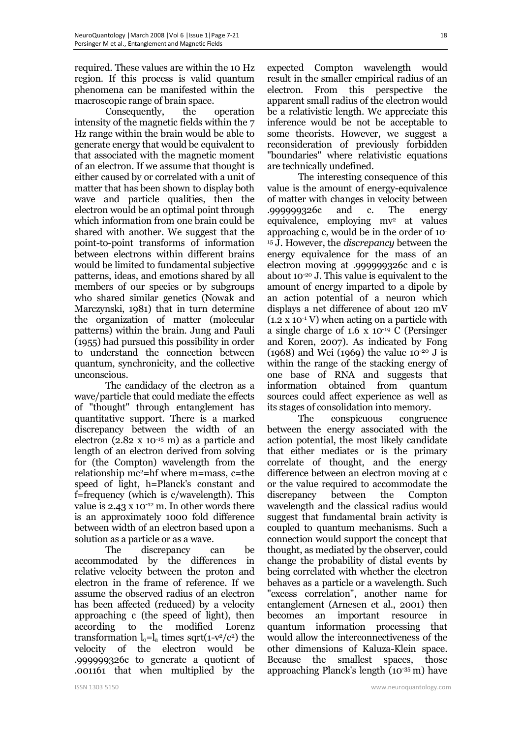required. These values are within the 10 Hz region. If this process is valid quantum phenomena can be manifested within the macroscopic range of brain space.

Consequently, the operation intensity of the magnetic fields within the 7 Hz range within the brain would be able to generate energy that would be equivalent to that associated with the magnetic moment of an electron. If we assume that thought is either caused by or correlated with a unit of matter that has been shown to display both wave and particle qualities, then the electron would be an optimal point through which information from one brain could be shared with another. We suggest that the point-to-point transforms of information between electrons within different brains would be limited to fundamental subjective patterns, ideas, and emotions shared by all members of our species or by subgroups who shared similar genetics (Nowak and Marczynski, 1981) that in turn determine the organization of matter (molecular patterns) within the brain. Jung and Pauli (1955) had pursued this possibility in order to understand the connection between quantum, synchronicity, and the collective unconscious.

The candidacy of the electron as a wave/particle that could mediate the effects of "thought" through entanglement has quantitative support. There is a marked discrepancy between the width of an electron  $(2.82 \times 10^{-15} \text{ m})$  as a particle and length of an electron derived from solving for (the Compton) wavelength from the relationship mc<sup>2</sup>=hf where m=mass, c=the speed of light, h=Planck's constant and f=frequency (which is c/wavelength). This value is  $2.43 \times 10^{-12}$  m. In other words there is an approximately 1000 fold difference between width of an electron based upon a solution as a particle or as a wave.

The discrepancy can be accommodated by the differences in relative velocity between the proton and electron in the frame of reference. If we assume the observed radius of an electron has been affected (reduced) by a velocity approaching c (the speed of light), then according to the modified Lorenz transformation  $l_0=l_a$  times sqrt(1-v<sup>2</sup>/c<sup>2</sup>) the velocity of the electron would be .999999326c to generate a quotient of .001161 that when multiplied by the

expected Compton wavelength would result in the smaller empirical radius of an electron. From this perspective the apparent small radius of the electron would be a relativistic length. We appreciate this inference would be not be acceptable to some theorists. However, we suggest a reconsideration of previously forbidden "boundaries" where relativistic equations are technically undefined.

The interesting consequence of this value is the amount of energy-equivalence of matter with changes in velocity between .999999326c and c. The energy equivalence, employing mv2 at values approaching c, would be in the order of 10- <sup>15</sup> J. However, the *discrepancy* between the energy equivalence for the mass of an electron moving at .999999326c and c is about 10-20 J. This value is equivalent to the amount of energy imparted to a dipole by an action potential of a neuron which displays a net difference of about 120 mV  $(1.2 \times 10^{-1} \text{ V})$  when acting on a particle with a single charge of 1.6 x 10-19 C (Persinger and Koren, 2007). As indicated by Fong (1968) and Wei (1969) the value  $10^{-20}$  J is within the range of the stacking energy of one base of RNA and suggests that information obtained from quantum sources could affect experience as well as its stages of consolidation into memory.

The conspicuous congruence between the energy associated with the action potential, the most likely candidate that either mediates or is the primary correlate of thought, and the energy difference between an electron moving at c or the value required to accommodate the discrepancy between the Compton wavelength and the classical radius would suggest that fundamental brain activity is coupled to quantum mechanisms. Such a connection would support the concept that thought, as mediated by the observer, could change the probability of distal events by being correlated with whether the electron behaves as a particle or a wavelength. Such "excess correlation", another name for entanglement (Arnesen et al., 2001) then becomes an important resource in quantum information processing that would allow the interconnectiveness of the other dimensions of Kaluza-Klein space. Because the smallest spaces, those approaching Planck's length (10-35 m) have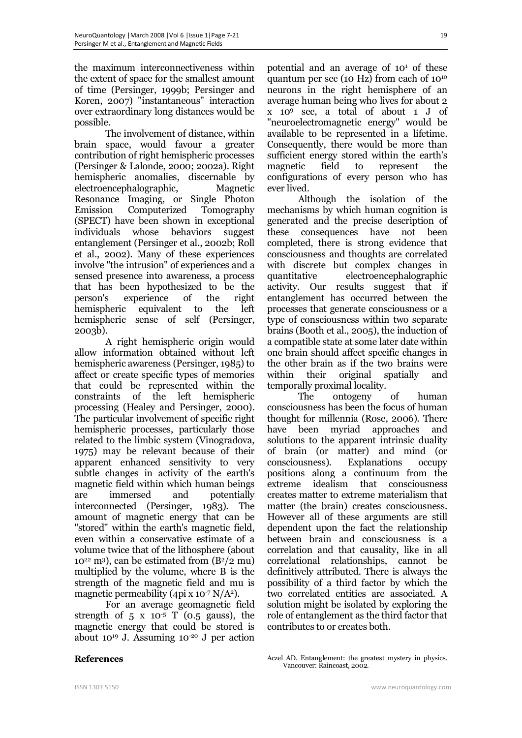the maximum interconnectiveness within the extent of space for the smallest amount of time (Persinger, 1999b; Persinger and Koren, 2007) "instantaneous" interaction over extraordinary long distances would be possible.

The involvement of distance, within brain space, would favour a greater contribution of right hemispheric processes (Persinger & Lalonde, 2000; 2002a). Right hemispheric anomalies, discernable by electroencephalographic, Magnetic Resonance Imaging, or Single Photon Emission Computerized Tomography (SPECT) have been shown in exceptional individuals whose behaviors suggest entanglement (Persinger et al., 2002b; Roll et al., 2002). Many of these experiences involve "the intrusion" of experiences and a sensed presence into awareness, a process that has been hypothesized to be the person's experience of the right hemispheric equivalent to the left hemispheric sense of self (Persinger, 2003b).

A right hemispheric origin would allow information obtained without left hemispheric awareness (Persinger, 1985) to affect or create specific types of memories that could be represented within the constraints of the left hemispheric processing (Healey and Persinger, 2000). The particular involvement of specific right hemispheric processes, particularly those related to the limbic system (Vinogradova, 1975) may be relevant because of their apparent enhanced sensitivity to very subtle changes in activity of the earth's magnetic field within which human beings are immersed and potentially interconnected (Persinger, 1983). The amount of magnetic energy that can be "stored" within the earth's magnetic field, even within a conservative estimate of a volume twice that of the lithosphere (about  $10^{22}$  m<sup>3</sup>), can be estimated from  $(B^2/2$  mu) multiplied by the volume, where B is the strength of the magnetic field and mu is magnetic permeability (4pi x 10<sup>-7</sup> N/A<sup>2</sup>).

For an average geomagnetic field strength of  $5 \times 10^{-5}$  T (0.5 gauss), the magnetic energy that could be stored is about 1019 J. Assuming 10-20 J per action potential and an average of  $10<sup>1</sup>$  of these quantum per sec (10 Hz) from each of 1010 neurons in the right hemisphere of an average human being who lives for about 2 x 109 sec, a total of about 1 J of "neuroelectromagnetic energy" would be available to be represented in a lifetime. Consequently, there would be more than sufficient energy stored within the earth's magnetic field to represent the configurations of every person who has ever lived.

Although the isolation of the mechanisms by which human cognition is generated and the precise description of these consequences have not been completed, there is strong evidence that consciousness and thoughts are correlated with discrete but complex changes in quantitative electroencephalographic activity. Our results suggest that if entanglement has occurred between the processes that generate consciousness or a type of consciousness within two separate brains (Booth et al., 2005), the induction of a compatible state at some later date within one brain should affect specific changes in the other brain as if the two brains were within their original spatially and temporally proximal locality.

The ontogeny of human consciousness has been the focus of human thought for millennia (Rose, 2006). There have been myriad approaches and solutions to the apparent intrinsic duality of brain (or matter) and mind (or consciousness). Explanations occupy positions along a continuum from the extreme idealism that consciousness creates matter to extreme materialism that matter (the brain) creates consciousness. However all of these arguments are still dependent upon the fact the relationship between brain and consciousness is a correlation and that causality, like in all correlational relationships, cannot be definitively attributed. There is always the possibility of a third factor by which the two correlated entities are associated. A solution might be isolated by exploring the role of entanglement as the third factor that contributes to or creates both.

**References Aczel AD.** Entanglement: the greatest mystery in physics. Vancouver: Raincoast, 2002.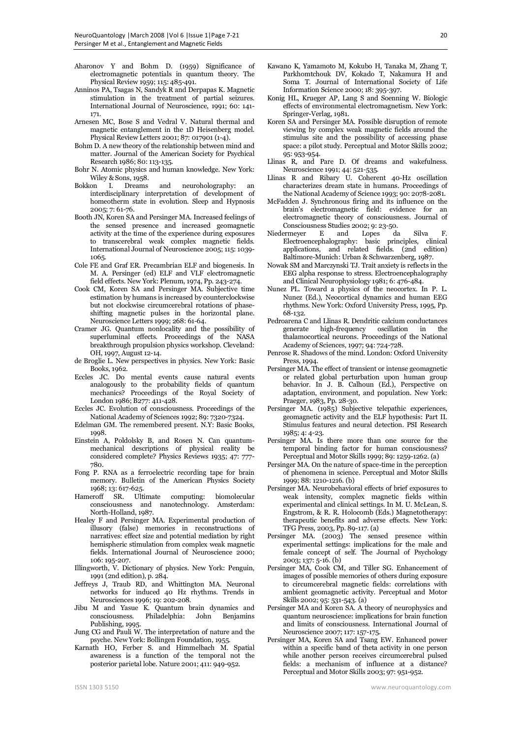- Aharonov Y and Bohm D. (1959) Significance of electromagnetic potentials in quantum theory. The Physical Review 1959; 115: 485-491.
- Anninos PA, Tsagas N, Sandyk R and Derpapas K. Magnetic stimulation in the treatment of partial seizures. International Journal of Neuroscience, 1991; 60: 141- 171.
- Arnesen MC, Bose S and Vedral V. Natural thermal and magnetic entanglement in the 1D Heisenberg model. Physical Review Letters 2001; 87: 017901 (1-4).
- Bohm D. A new theory of the relationship between mind and matter. Journal of the American Society for Psychical Research 1986; 80: 113-135.
- Bohr N. Atomic physics and human knowledge. New York: Wiley & Sons, 1958.
- Bokkon I. Dreams and neuroholography: an interdisciplinary interpretation of development of homeotherm state in evolution. Sleep and Hypnosis 2005; 7: 61-76.
- Booth JN, Koren SA and Persinger MA. Increased feelings of the sensed presence and increased geomagnetic activity at the time of the experience during exposures to transcerebral weak complex magnetic fields. International Journal of Neuroscience 2005; 115: 1039- 1065.
- Cole FE and Graf ER. Precambrian ELF and biogenesis. In M. A. Persinger (ed) ELF and VLF electromagnetic field effects. New York: Plenum, 1974, Pp. 243-274.
- Cook CM, Koren SA and Persinger MA. Subjective time estimation by humans is increased by counterclockwise but not clockwise circumcerebral rotations of phaseshifting magnetic pulses in the horizontal plane. Neuroscience Letters 1999; 268: 61-64.
- Cramer JG. Quantum nonlocality and the possibility of superluminal effects. Proceedings of the NASA breakthrough propulsion physics workshop. Cleveland: OH, 1997, August 12-14.
- de Broglie L. New perspectives in physics. New York: Basic Books, 1962.
- Eccles JC. Do mental events cause natural events analogously to the probability fields of quantum mechanics? Proceedings of the Royal Society of London 1986; B277: 411-428.
- Eccles JC. Evolution of consciousness. Proceedings of the National Academy of Sciences 1992; 89: 7320-7324.
- Edelman GM. The remembered present. N.Y: Basic Books, 1998.
- Einstein A, Poldolsky B, and Rosen N. Can quantummechanical descriptions of physical reality be considered complete? Physics Reviews 1935; 47: 777- 780.
- Fong P. RNA as a ferroelectric recording tape for brain memory. Bulletin of the American Physics Society 1968; 13: 617-625.
- Hameroff SR. Ultimate computing: biomolecular consciousness and nanotechnology. Amsterdam: North-Holland, 1987.
- Healey F and Persinger MA. Experimental production of illusory (false) memories in reconstructions of narratives: effect size and potential mediation by right hemispheric stimulation from complex weak magnetic fields. International Journal of Neuroscience 2000; 106: 195-207.
- Illingworth, V. Dictionary of physics. New York: Penguin, 1991 (2nd edition), p. 284.
- Jeffreys J, Traub RD, and Whittington MA. Neuronal networks for induced 40 Hz rhythms. Trends in Neurosciences 1996; 19: 202-208.
- Jibu M and Yasue K. Quantum brain dynamics and consciousness. Philadelphia: John Benjamins Publishing, 1995.
- Jung CG and Pauli W. The interpretation of nature and the psyche. New York: Bollingen Foundation, 1955.
- Karnath HO, Ferber S. and Himmelbach M. Spatial awareness is a function of the temporal not the posterior parietal lobe. Nature 2001; 411: 949-952.
- Kawano K, Yamamoto M, Kokubo H, Tanaka M, Zhang T, Parkhomtchouk DV, Kokado T, Nakamura H and Soma T. Journal of International Society of Life Information Science 2000; 18: 395-397.
- Konig HL, Krueger AP, Lang S and Soenning W. Biologic effects of environmental electromagnetism. New York: Springer-Verlag, 1981.
- Koren SA and Persinger MA. Possible disruption of remote viewing by complex weak magnetic fields around the stimulus site and the possibility of accessing phase space: a pilot study. Perceptual and Motor Skills 2002; 95: 953-954.
- Llinas R, and Pare D. Of dreams and wakefulness. Neuroscience 1991; 44: 521-535.
- Llinas R and Ribary U. Coherent 40-Hz oscillation characterizes dream state in humans. Proceedings of the National Academy of Science 1993; 90: 2078-2081.
- McFadden J. Synchronous firing and its influence on the brain's electromagnetic field: evidence for an electromagnetic theory of consciousness. Journal of Consciousness Studies 2002; 9: 23-50.<br>
ermeyer E and Lopes da
- Niedermeyer E and Lopes da Silva F. Electroencephalography: basic applications, and related fields. (2nd edition) Baltimore-Munich: Urban & Schwarzenberg, 1987.
- Nowak SM and Marczynski TJ. Trait anxiety is reflects in the EEG alpha response to stress. Electroencephalography and Clinical Neurophysiology 1981; 6: 476-484.
- Nunez PL. Toward a physics of the neocortex. In P. L. Nunez (Ed.), Neocortical dynamics and human EEG rhythms. New York: Oxford University Press, 1995, Pp. 68-132.
- Pedroarena C and Llinas R. Dendritic calcium conductances generate high-frequency oscillation in the thalamocortical neurons. Proceedings of the National Academy of Sciences, 1997; 94: 724-728.
- Penrose R. Shadows of the mind. London: Oxford University Press, 1994.
- Persinger MA. The effect of transient or intense geomagnetic or related global perturbation upon human group behavior. In J. B. Calhoun (Ed.), Perspective on adaptation, environment, and population. New York: Praeger, 1983, Pp. 28-30.
- Persinger MA. (1985) Subjective telepathic experiences, geomagnetic activity and the ELF hypothesis: Part II. Stimulus features and neural detection. PSI Research 1985; 4: 4-23.
- Persinger MA. Is there more than one source for the temporal binding factor for human consciousness? Perceptual and Motor Skills 1999; 89: 1259-1262. (a)
- Persinger MA. On the nature of space-time in the perception of phenomena in science. Perceptual and Motor Skills 1999; 88: 1210-1216. (b)
- Persinger MA. Neurobehavioral effects of brief exposures to weak intensity, complex magnetic fields within experimental and clinical settings. In M. U. McLean, S. Engstrom, & R. R. Holocomb (Eds.) Magnetotherapy: therapeutic benefits and adverse effects. New York: TFG Press, 2003, Pp. 89-117. (a)
- Persinger MA. (2003) The sensed presence within experimental settings: implications for the male and female concept of self. The Journal of Psychology 2003; 137: 5-16. (b)
- Persinger MA, Cook CM, and Tiller SG. Enhancement of images of possible memories of others during exposure to circumcerebral magnetic fields: correlations with ambient geomagnetic activity. Perceptual and Motor Skills 2002; 95: 531-543. (a)
- Persinger MA and Koren SA. A theory of neurophysics and quantum neuroscience: implications for brain function and limits of consciousness. International Journal of Neuroscience 2007; 117: 157-175.
- Persinger MA, Koren SA and Tsang EW. Enhanced power within a specific band of theta activity in one person while another person receives circumcerebral pulsed fields: a mechanism of influence at a distance? Perceptual and Motor Skills 2003; 97: 951-952.